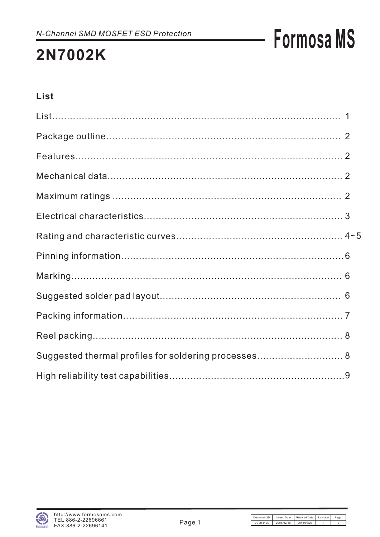# **Formosa MS**

### **List**

| Suggested thermal profiles for soldering processes 8 |  |
|------------------------------------------------------|--|
|                                                      |  |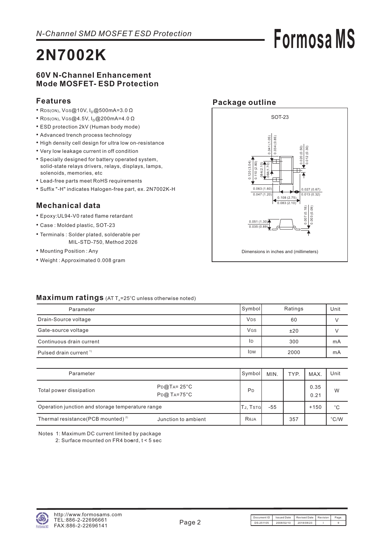### **60V N-Channel Enhancement Mode MOSFET- ESD Protection**

#### **Features**

- $\cdot$  RDS(ON), VGS@10V, I<sub>D</sub>@500mA=3.0  $\Omega$
- $\cdot$  RDS(ON), VGS@4.5V, I<sub>D</sub>@200mA=4.0  $\Omega$
- ESD protection 2kV (Human body mode)
- Advanced trench process technology
- High density cell design for ultra low on-resistance
- Very low leakage current in off condition
- Specially designed for battery operated system, solid-state relays drivers, relays, displays, lamps, solenoids, memories, etc
- Lead-free parts meet RoHS requirements
- Suffix "-H" indicates Halogen-free part, ex. 2N7002K-H

### **Mechanical data**

- Epoxy:UL94-V0 rated flame retardant
- Case : Molded plastic, SOT-23
- Terminals : Solder plated, solderable per MIL-STD-750, Method 2026
- Mounting Position : Any
- Weight : Approximated 0.008 gram



**Formosa MS**

#### Maximum ratings (AT T<sub>A</sub>=25°C unless otherwise noted)

| Parameter                          | Symbol                | Ratings | Unit |
|------------------------------------|-----------------------|---------|------|
| Drain-Source voltage               | <b>V<sub>DS</sub></b> | 60      |      |
| Gate-source voltage                | <b>V<sub>GS</sub></b> | ±20     |      |
| Continuous drain current           | ID                    | 300     | mA   |
| Pulsed drain current <sup>1)</sup> | <b>IDM</b>            | 2000    | mA   |

| Parameter                                        |                                               | Symbol         | MIN.            | TYP. | MAX.         | Unit          |
|--------------------------------------------------|-----------------------------------------------|----------------|-----------------|------|--------------|---------------|
| Total power dissipation                          | $P_{D@}TA = 25^{\circ}C$<br>$P_{D}$ @ TA=75°C | P <sub>D</sub> |                 |      | 0.35<br>0.21 | W             |
| Operation junction and storage temperature range |                                               |                | TJ, Tstg<br>-55 |      | $+150$       | $^{\circ}C$   |
| Thermal resistance (PCB mounted) <sup>2)</sup>   | Junction to ambient                           | Reja           |                 | 357  |              | $\degree$ C/W |

Notes 1: Maximum DC current limited by package

2: Surface mounted on FR4 board, t < 5 sec

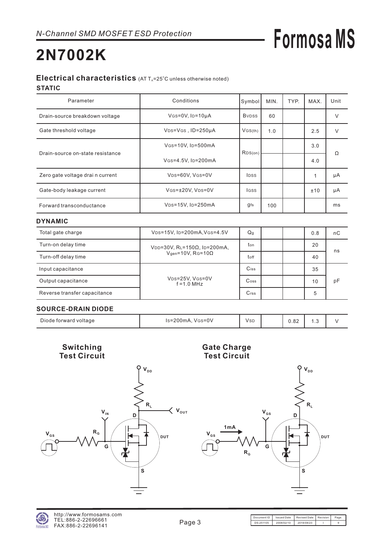# **Formosa MS**

## **2N7002K**

#### Electrical characteristics (AT T<sub>A</sub>=25°C unless otherwise noted) **STATIC**

| Parameter                        | Conditions                                  | Symbol                    | MIN. | TYP. | MAX. | Unit   |
|----------------------------------|---------------------------------------------|---------------------------|------|------|------|--------|
| Drain-source breakdown voltage   | $V$ GS=0V, ID=10µA                          | <b>B</b> v <sub>pss</sub> | 60   |      |      | V      |
| Gate threshold voltage           | VDS=VGS, ID=250µA                           | VGS(th)                   | 1.0  |      | 2.5  | $\vee$ |
| Drain-source on-state resistance | VGS=10V, ID=500mA                           | RDS(on)                   |      |      | 3.0  |        |
|                                  | VGS=4.5V, ID=200mA                          |                           |      |      | 4.0  | Ω      |
| Zero gate voltage drai n current | VDS=60V, VGS=0V                             | <b>IDSS</b>               |      |      |      | μA     |
| Gate-body leakage current        | VGS=±20V, VDS=0V                            | <b>IGSS</b>               |      |      | ±10  | μA     |
| Forward transconductance         | V <sub>DS</sub> =15V, I <sub>D</sub> =250mA | gfs                       | 100  |      |      | ms     |

#### **DYNAMIC**

| Total gate charge            | VDS=15V, ID=200mA, VGS=4.5V      | Q <sub>g</sub>  |  | 0.8 | пC |
|------------------------------|----------------------------------|-----------------|--|-----|----|
| Turn-on delay time           | $VDD = 30V$ , RL=150Ω, ID=200mA, | ton             |  | 20  |    |
| Turn-off delay time          | $Vgen=10V$ , RG=10 $\Omega$      | toff            |  | 40  | ns |
| Input capacitance            |                                  | $C$ iss         |  | 35  |    |
| Output capacitance           | VDS=25V, VGS=0V<br>$f = 1.0$ MHz | $\mathsf{Coss}$ |  | 10  | рF |
| Reverse transfer capacitance |                                  | Crss            |  | 5   |    |

#### **SOURCE-DRAIN DIODE**

| Diode forward voltage | Is=200mA,<br>$V$ <sub>GS</sub> = $0$ V | Vsd | $\Omega$<br>∪.o∠ | . . ب |  |
|-----------------------|----------------------------------------|-----|------------------|-------|--|

**Switching Test Circuit**



#### **Gate Charge Test Circuit**

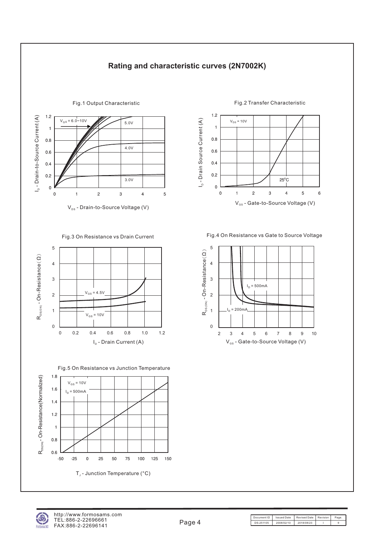

#### **Rating and characteristic curves (2N7002K)**





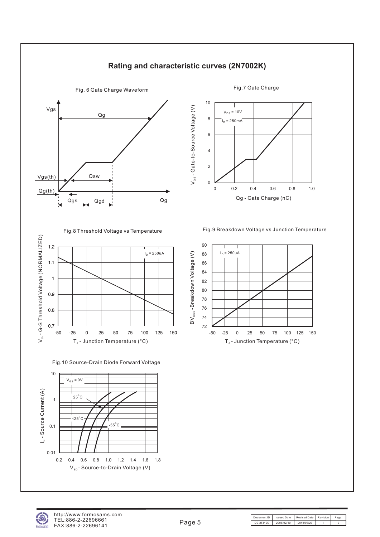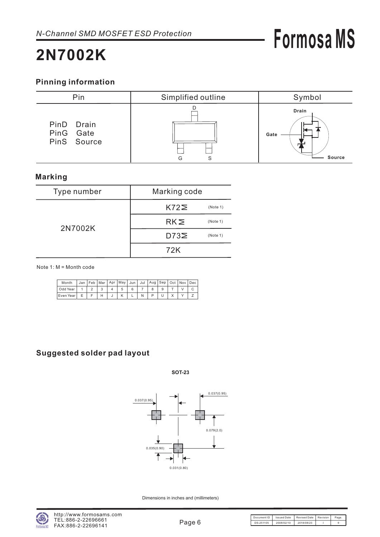# **Formosa MS**

## **2N7002K**

### **Pinning information**



### **Marking**

| Type number | Marking code                |  |  |
|-------------|-----------------------------|--|--|
|             | $K72\geq$<br>(Note 1)       |  |  |
| 2N7002K     | RK <sub>2</sub><br>(Note 1) |  |  |
|             | $D73\Sigma$<br>(Note 1)     |  |  |
|             | 72K                         |  |  |

Note 1: M = Month code

| Month     |  |  | Jan   Feb   Mar   Apr   May   Jun   Jul   Aug   Sep   Oct   Nov   Dec |  |  |  |  |
|-----------|--|--|-----------------------------------------------------------------------|--|--|--|--|
| Odd Year  |  |  |                                                                       |  |  |  |  |
| Even Year |  |  |                                                                       |  |  |  |  |

### **Suggested solder pad layout**

**SOT-23**



Dimensions in inches and (millimeters)

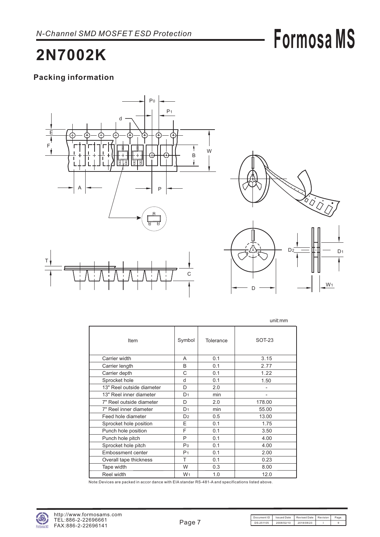# **Formosa MS**

## **2N7002K**

### **Packing information**





|                           |                |           | unit:mm       |
|---------------------------|----------------|-----------|---------------|
| Item                      | Symbol         | Tolerance | <b>SOT-23</b> |
| Carrier width             | A              | 0.1       | 3.15          |
| Carrier length            | B              | 0.1       | 2.77          |
| Carrier depth             | C              | 0.1       | 1.22          |
| Sprocket hole             | d              | 0.1       | 1.50          |
| 13" Reel outside diameter | D              | 2.0       |               |
| 13" Reel inner diameter   | D <sub>1</sub> | min       |               |
| 7" Reel outside diameter  | D              | 2.0       | 178.00        |
| 7" Reel inner diameter    | D <sub>1</sub> | min       | 55.00         |
| Feed hole diameter        | D <sub>2</sub> | 0.5       | 13.00         |
| Sprocket hole position    | Е              | 0.1       | 1.75          |
| Punch hole position       | F              | 0.1       | 3.50          |
| Punch hole pitch          | P              | 0.1       | 4.00          |
| Sprocket hole pitch       | P <sub>0</sub> | 0.1       | 4.00          |
| Embossment center         | P <sub>1</sub> | 0.1       | 2.00          |
| Overall tape thickness    | T              | 0.1       | 0.23          |
| Tape width                | W              | 0.3       | 8.00          |
| Reel width                | W <sub>1</sub> | 1.0       | 12.0          |

Note:Devices are packed in accor dance with EIA standar RS-481-A and specifications listed above.

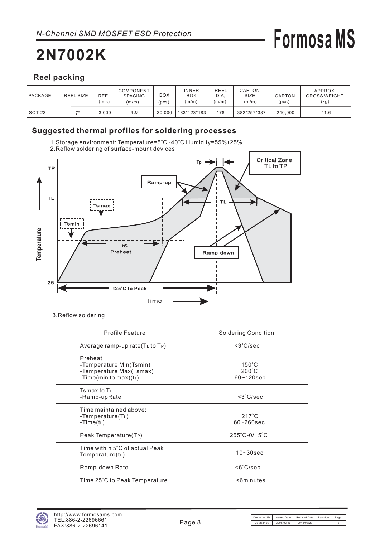# **Formosa MS**

### **Reel packing**

| PACKAGE | <b>REEL SIZE</b> | <b>REEL</b><br>(pcs) | COMPONENT<br><b>SPACING</b><br>(m/m) | BOX<br>pcs) | <b>INNER</b><br><b>BOX</b><br>(m/m) | <b>REEL</b><br>DIA.<br>(m/m) | CARTON<br>SIZE<br>(m/m) | CARTON<br>(pcs) | APPROX.<br><b>GROSS WEIGHT</b><br>(kg) |
|---------|------------------|----------------------|--------------------------------------|-------------|-------------------------------------|------------------------------|-------------------------|-----------------|----------------------------------------|
| SOT-23  | 71               | 3.000                | 4.0                                  | 30.000      | 183*123*183                         | 178                          | 382*257*387             | 240.000         | 11.6                                   |

### **Suggested thermal profiles for soldering processes**



3.Reflow soldering

| <b>Profile Feature</b>                                                                    | <b>Soldering Condition</b>                           |
|-------------------------------------------------------------------------------------------|------------------------------------------------------|
| Average ramp-up rate $(TL$ to $TP)$                                                       | $<$ 3 $°C/sec$                                       |
| Preheat<br>-Temperature Min(Tsmin)<br>-Temperature Max(Tsmax)<br>-Time(min to max) $(ts)$ | $150^{\circ}$ C<br>$200^{\circ}$ C<br>$60 - 120$ sec |
| Tsmax to T $\scriptstyle\rm L$<br>-Ramp-upRate                                            | $<$ 3 $°C/sec$                                       |
| Time maintained above:<br>-Temperature( $T_L$ )<br>-Time( $t_L$ )                         | $217^{\circ}$ C<br>$60 - 260$ sec                    |
| Peak Temperature(T <sub>P</sub> )                                                         | $255^{\circ}$ C-0/+5 $^{\circ}$ C                    |
| Time within 5°C of actual Peak<br>Temperature(tP)                                         | $10 - 30$ sec                                        |
| Ramp-down Rate                                                                            | $<6^{\circ}$ C/sec                                   |
| Time 25°C to Peak Temperature                                                             | <6minutes                                            |